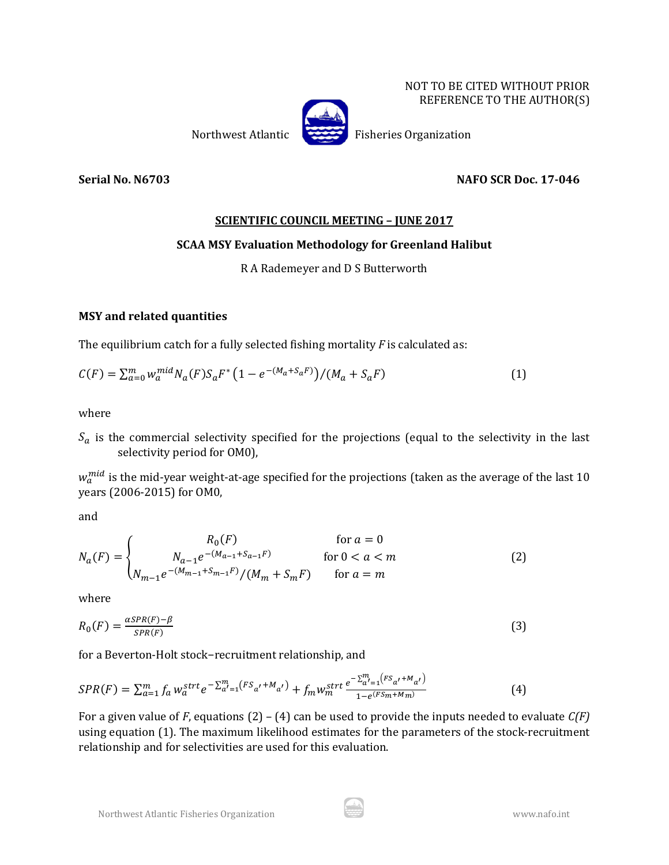NOT TO BE CITED WITHOUT PRIOR REFERENCE TO THE AUTHOR(S)

Northwest Atlantic Fisheries Organization

**Serial No. N6703 NAFO SCR Doc. 17-046**

## **SCIENTIFIC COUNCIL MEETING – JUNE 2017**

## **SCAA MSY Evaluation Methodology for Greenland Halibut**

## R A Rademeyer and D S Butterworth

## **MSY and related quantities**

The equilibrium catch for a fully selected fishing mortality *F* is calculated as:

$$
C(F) = \sum_{a=0}^{m} w_a^{mid} N_a(F) S_a F^* \left(1 - e^{-(M_a + S_a F)}\right) / (M_a + S_a F)
$$
 (1)

where

 $S_a$  is the commercial selectivity specified for the projections (equal to the selectivity in the last selectivity period for OM0),

 $w_a^{mid}$  is the mid-year weight-at-age specified for the projections (taken as the average of the last 10 years (2006-2015) for OM0,

and

$$
N_a(F) = \begin{cases} R_0(F) & \text{for } a = 0\\ N_{a-1}e^{-(M_{a-1}+S_{a-1}F)} & \text{for } 0 < a < m\\ N_{m-1}e^{-(M_{m-1}+S_{m-1}F)}/(M_m+S_mF) & \text{for } a = m \end{cases}
$$
(2)

where

$$
R_0(F) = \frac{\alpha SPR(F) - \beta}{SPR(F)}\tag{3}
$$

for a Beverton-Holt stock−recruitment relationship, and

$$
SPR(F) = \sum_{a=1}^{m} f_a w_a^{strt} e^{-\sum_{a'=1}^{m} (FS_{a'} + M_{a'})} + f_m w_m^{strt} \frac{e^{-\sum_{a'=1}^{m} (FS_{a'} + M_{a'})}}{1 - e^{(FS_m + M_m)}}
$$
(4)

For a given value of *F*, equations (2) – (4) can be used to provide the inputs needed to evaluate *C(F)* using equation (1). The maximum likelihood estimates for the parameters of the stock-recruitment relationship and for selectivities are used for this evaluation.